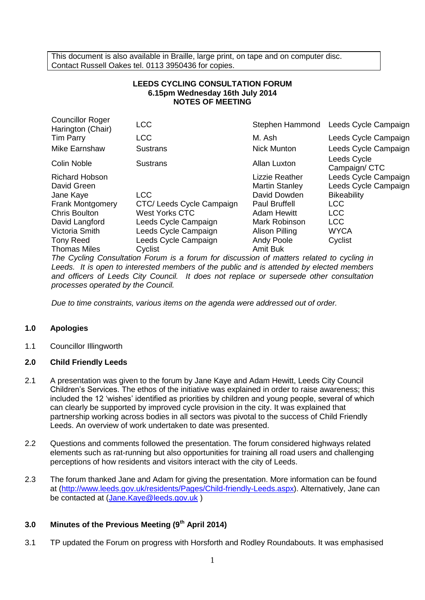This document is also available in Braille, large print, on tape and on computer disc. Contact Russell Oakes tel. 0113 3950436 for copies.

### **LEEDS CYCLING CONSULTATION FORUM 6.15pm Wednesday 16th July 2014 NOTES OF MEETING**

| <b>Councillor Roger</b><br>Harington (Chair)                                 | <b>LCC</b>                              | Stephen Hammond                                                                 | Leeds Cycle Campaign                                                             |
|------------------------------------------------------------------------------|-----------------------------------------|---------------------------------------------------------------------------------|----------------------------------------------------------------------------------|
| <b>Tim Parry</b>                                                             | <b>LCC</b>                              | M. Ash                                                                          | Leeds Cycle Campaign                                                             |
| Mike Earnshaw                                                                | <b>Sustrans</b>                         | <b>Nick Munton</b>                                                              | Leeds Cycle Campaign                                                             |
| Colin Noble                                                                  | <b>Sustrans</b>                         | Allan Luxton                                                                    | Leeds Cycle<br>Campaign/ CTC                                                     |
| <b>Richard Hobson</b><br>David Green<br>Jane Kaye<br><b>Frank Montgomery</b> | <b>LCC</b><br>CTC/ Leeds Cycle Campaign | Lizzie Reather<br><b>Martin Stanley</b><br>David Dowden<br><b>Paul Bruffell</b> | Leeds Cycle Campaign<br>Leeds Cycle Campaign<br><b>Bikeability</b><br><b>LCC</b> |
| <b>Chris Boulton</b>                                                         | <b>West Yorks CTC</b>                   | <b>Adam Hewitt</b>                                                              | <b>LCC</b>                                                                       |
| David Langford                                                               | Leeds Cycle Campaign                    | Mark Robinson                                                                   | <b>LCC</b>                                                                       |
| Victoria Smith                                                               | Leeds Cycle Campaign                    | Alison Pilling                                                                  | <b>WYCA</b>                                                                      |
| <b>Tony Reed</b>                                                             | Leeds Cycle Campaign                    | Andy Poole                                                                      | Cyclist                                                                          |
| <b>Thomas Miles</b>                                                          | Cyclist                                 | <b>Amit Buk</b>                                                                 |                                                                                  |

*The Cycling Consultation Forum is a forum for discussion of matters related to cycling in Leeds. It is open to interested members of the public and is attended by elected members and officers of Leeds City Council. It does not replace or supersede other consultation processes operated by the Council.*

*Due to time constraints, various items on the agenda were addressed out of order.*

# **1.0 Apologies**

1.1 Councillor Illingworth

# **2.0 Child Friendly Leeds**

- 2.1 A presentation was given to the forum by Jane Kaye and Adam Hewitt, Leeds City Council Children's Services. The ethos of the initiative was explained in order to raise awareness; this included the 12 'wishes' identified as priorities by children and young people, several of which can clearly be supported by improved cycle provision in the city. It was explained that partnership working across bodies in all sectors was pivotal to the success of Child Friendly Leeds. An overview of work undertaken to date was presented.
- 2.2 Questions and comments followed the presentation. The forum considered highways related elements such as rat-running but also opportunities for training all road users and challenging perceptions of how residents and visitors interact with the city of Leeds.
- 2.3 The forum thanked Jane and Adam for giving the presentation. More information can be found at [\(http://www.leeds.gov.uk/residents/Pages/Child-friendly-Leeds.aspx\)](http://www.leeds.gov.uk/residents/Pages/Child-friendly-Leeds.aspx). Alternatively, Jane can be contacted at [\(Jane.Kaye@leeds.gov.uk](mailto:Jane.Kaye@leeds.gov.uk) )

#### **3.0 Minutes of the Previous Meeting (9th April 2014)**

3.1 TP updated the Forum on progress with Horsforth and Rodley Roundabouts. It was emphasised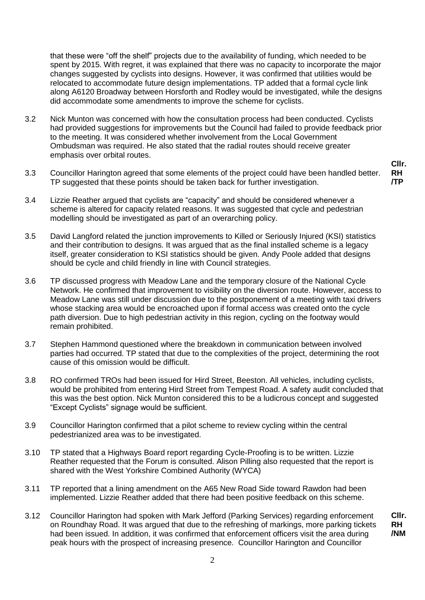that these were "off the shelf" projects due to the availability of funding, which needed to be spent by 2015. With regret, it was explained that there was no capacity to incorporate the major changes suggested by cyclists into designs. However, it was confirmed that utilities would be relocated to accommodate future design implementations. TP added that a formal cycle link along A6120 Broadway between Horsforth and Rodley would be investigated, while the designs did accommodate some amendments to improve the scheme for cyclists.

- 3.2 Nick Munton was concerned with how the consultation process had been conducted. Cyclists had provided suggestions for improvements but the Council had failed to provide feedback prior to the meeting. It was considered whether involvement from the Local Government Ombudsman was required. He also stated that the radial routes should receive greater emphasis over orbital routes.
- 3.3 Councillor Harington agreed that some elements of the project could have been handled better. TP suggested that these points should be taken back for further investigation. **RH /TP**
- 3.4 Lizzie Reather argued that cyclists are "capacity" and should be considered whenever a scheme is altered for capacity related reasons. It was suggested that cycle and pedestrian modelling should be investigated as part of an overarching policy.
- 3.5 David Langford related the junction improvements to Killed or Seriously Injured (KSI) statistics and their contribution to designs. It was argued that as the final installed scheme is a legacy itself, greater consideration to KSI statistics should be given. Andy Poole added that designs should be cycle and child friendly in line with Council strategies.
- 3.6 TP discussed progress with Meadow Lane and the temporary closure of the National Cycle Network. He confirmed that improvement to visibility on the diversion route. However, access to Meadow Lane was still under discussion due to the postponement of a meeting with taxi drivers whose stacking area would be encroached upon if formal access was created onto the cycle path diversion. Due to high pedestrian activity in this region, cycling on the footway would remain prohibited.
- 3.7 Stephen Hammond questioned where the breakdown in communication between involved parties had occurred. TP stated that due to the complexities of the project, determining the root cause of this omission would be difficult.
- 3.8 RO confirmed TROs had been issued for Hird Street, Beeston. All vehicles, including cyclists, would be prohibited from entering Hird Street from Tempest Road. A safety audit concluded that this was the best option. Nick Munton considered this to be a ludicrous concept and suggested "Except Cyclists" signage would be sufficient.
- 3.9 Councillor Harington confirmed that a pilot scheme to review cycling within the central pedestrianized area was to be investigated.
- 3.10 TP stated that a Highways Board report regarding Cycle-Proofing is to be written. Lizzie Reather requested that the Forum is consulted. Alison Pilling also requested that the report is shared with the West Yorkshire Combined Authority (WYCA)
- 3.11 TP reported that a lining amendment on the A65 New Road Side toward Rawdon had been implemented. Lizzie Reather added that there had been positive feedback on this scheme.
- 3.12 Councillor Harington had spoken with Mark Jefford (Parking Services) regarding enforcement on Roundhay Road. It was argued that due to the refreshing of markings, more parking tickets had been issued. In addition, it was confirmed that enforcement officers visit the area during peak hours with the prospect of increasing presence. Councillor Harington and Councillor **Cllr.**

**Cllr.**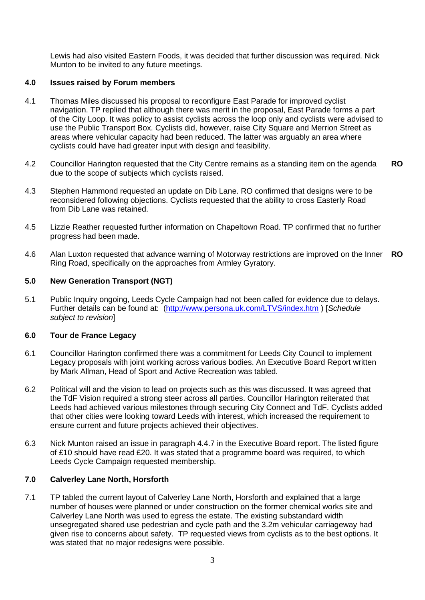Lewis had also visited Eastern Foods, it was decided that further discussion was required. Nick Munton to be invited to any future meetings.

#### **4.0 Issues raised by Forum members**

- 4.1 Thomas Miles discussed his proposal to reconfigure East Parade for improved cyclist navigation. TP replied that although there was merit in the proposal, East Parade forms a part of the City Loop. It was policy to assist cyclists across the loop only and cyclists were advised to use the Public Transport Box. Cyclists did, however, raise City Square and Merrion Street as areas where vehicular capacity had been reduced. The latter was arguably an area where cyclists could have had greater input with design and feasibility.
- 4.2 Councillor Harington requested that the City Centre remains as a standing item on the agenda due to the scope of subjects which cyclists raised. **RO**
- 4.3 Stephen Hammond requested an update on Dib Lane. RO confirmed that designs were to be reconsidered following objections. Cyclists requested that the ability to cross Easterly Road from Dib Lane was retained.
- 4.5 Lizzie Reather requested further information on Chapeltown Road. TP confirmed that no further progress had been made.
- 4.6 Alan Luxton requested that advance warning of Motorway restrictions are improved on the Inner **RO**Ring Road, specifically on the approaches from Armley Gyratory.

#### **5.0 New Generation Transport (NGT)**

5.1 Public Inquiry ongoing, Leeds Cycle Campaign had not been called for evidence due to delays. Further details can be found at: [\(http://www.persona.uk.com/LTVS/index.htm](http://www.persona.uk.com/LTVS/index.htm) ) [*Schedule subject to revision*]

#### **6.0 Tour de France Legacy**

- 6.1 Councillor Harington confirmed there was a commitment for Leeds City Council to implement Legacy proposals with joint working across various bodies. An Executive Board Report written by Mark Allman, Head of Sport and Active Recreation was tabled.
- 6.2 Political will and the vision to lead on projects such as this was discussed. It was agreed that the TdF Vision required a strong steer across all parties. Councillor Harington reiterated that Leeds had achieved various milestones through securing City Connect and TdF. Cyclists added that other cities were looking toward Leeds with interest, which increased the requirement to ensure current and future projects achieved their objectives.
- 6.3 Nick Munton raised an issue in paragraph 4.4.7 in the Executive Board report. The listed figure of £10 should have read £20. It was stated that a programme board was required, to which Leeds Cycle Campaign requested membership.

#### **7.0 Calverley Lane North, Horsforth**

7.1 TP tabled the current layout of Calverley Lane North, Horsforth and explained that a large number of houses were planned or under construction on the former chemical works site and Calverley Lane North was used to egress the estate. The existing substandard width unsegregated shared use pedestrian and cycle path and the 3.2m vehicular carriageway had given rise to concerns about safety. TP requested views from cyclists as to the best options. It was stated that no major redesigns were possible.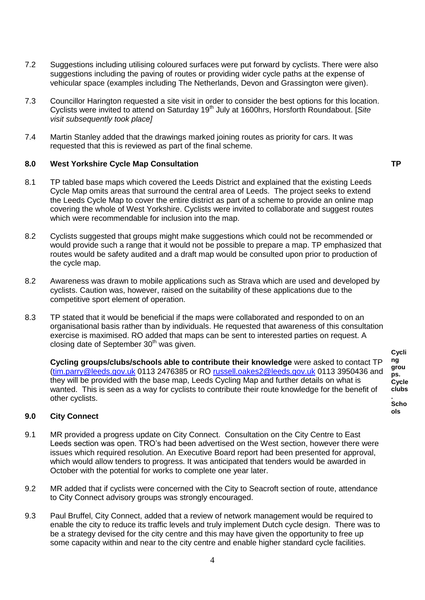- 7.2 Suggestions including utilising coloured surfaces were put forward by cyclists. There were also suggestions including the paving of routes or providing wider cycle paths at the expense of vehicular space (examples including The Netherlands, Devon and Grassington were given).
- 7.3 Councillor Harington requested a site visit in order to consider the best options for this location. Cyclists were invited to attend on Saturday 19<sup>th</sup> July at 1600hrs, Horsforth Roundabout. [Site *visit subsequently took place]*
- 7.4 Martin Stanley added that the drawings marked joining routes as priority for cars. It was requested that this is reviewed as part of the final scheme.

#### **8.0 West Yorkshire Cycle Map Consultation**

- 8.1 TP tabled base maps which covered the Leeds District and explained that the existing Leeds Cycle Map omits areas that surround the central area of Leeds. The project seeks to extend the Leeds Cycle Map to cover the entire district as part of a scheme to provide an online map covering the whole of West Yorkshire. Cyclists were invited to collaborate and suggest routes which were recommendable for inclusion into the map.
- 8.2 Cyclists suggested that groups might make suggestions which could not be recommended or would provide such a range that it would not be possible to prepare a map. TP emphasized that routes would be safety audited and a draft map would be consulted upon prior to production of the cycle map.
- 8.2 Awareness was drawn to mobile applications such as Strava which are used and developed by cyclists. Caution was, however, raised on the suitability of these applications due to the competitive sport element of operation.
- 8.3 TP stated that it would be beneficial if the maps were collaborated and responded to on an organisational basis rather than by individuals. He requested that awareness of this consultation exercise is maximised. RO added that maps can be sent to interested parties on request. A closing date of September 30<sup>th</sup> was given.

**Cycling groups/clubs/schools able to contribute their knowledge** were asked to contact TP [\(tim.parry@leeds.gov.uk](mailto:tim.parry@leeds.gov.uk) 0113 2476385 or RO [russell.oakes2@leeds.gov.uk](mailto:russell.oakes2@leeds.gov.uk) 0113 3950436 and they will be provided with the base map, Leeds Cycling Map and further details on what is wanted. This is seen as a way for cyclists to contribute their route knowledge for the benefit of other cyclists.

**ng grou ps. Cycle clubs . Scho ols**

**Cycli**

#### **9.0 City Connect**

- 9.1 MR provided a progress update on City Connect. Consultation on the City Centre to East Leeds section was open. TRO's had been advertised on the West section, however there were issues which required resolution. An Executive Board report had been presented for approval, which would allow tenders to progress. It was anticipated that tenders would be awarded in October with the potential for works to complete one year later.
- 9.2 MR added that if cyclists were concerned with the City to Seacroft section of route, attendance to City Connect advisory groups was strongly encouraged.
- 9.3 Paul Bruffel, City Connect, added that a review of network management would be required to enable the city to reduce its traffic levels and truly implement Dutch cycle design. There was to be a strategy devised for the city centre and this may have given the opportunity to free up some capacity within and near to the city centre and enable higher standard cycle facilities.